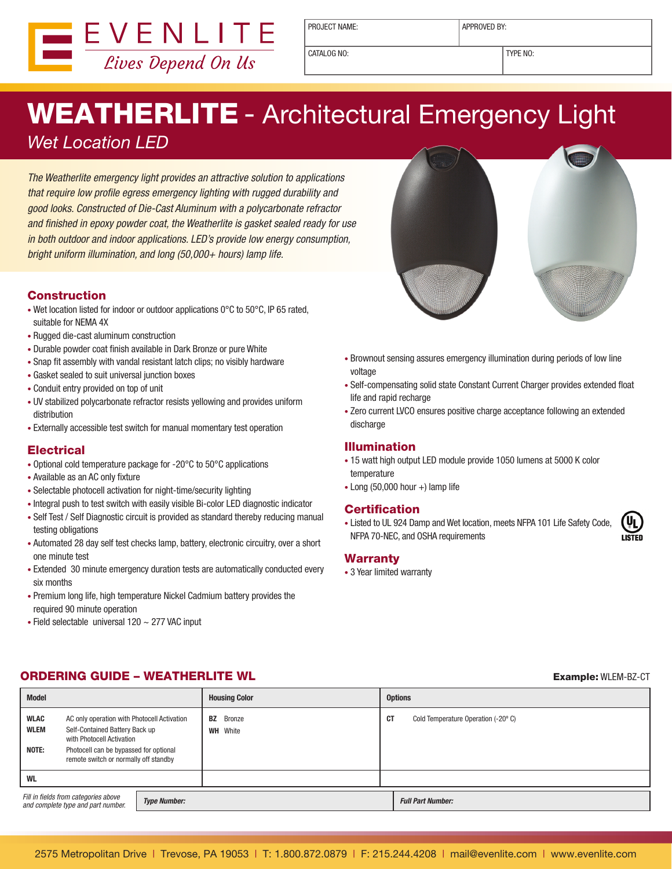

PROJECT NAME: <br> APPROVED BY:

CATALOG NO: TYPE NO:

# WEATHERLITE - Architectural Emergency Light

*Wet Location LED*

*The Weatherlite emergency light provides an attractive solution to applications that require low profile egress emergency lighting with rugged durability and good looks. Constructed of Die-Cast Aluminum with a polycarbonate refractor and finished in epoxy powder coat, the Weatherlite is gasket sealed ready for use in both outdoor and indoor applications. LED's provide low energy consumption, bright uniform illumination, and long (50,000+ hours) lamp life.*

### **Construction**

- Wet location listed for indoor or outdoor applications 0°C to 50°C, IP 65 rated, suitable for NEMA 4X
- Rugged die-cast aluminum construction
- Durable powder coat finish available in Dark Bronze or pure White
- Snap fit assembly with vandal resistant latch clips; no visibly hardware
- Gasket sealed to suit universal junction boxes
- Conduit entry provided on top of unit
- UV stabilized polycarbonate refractor resists yellowing and provides uniform distribution
- Externally accessible test switch for manual momentary test operation

### **Electrical**

- Optional cold temperature package for -20°C to 50°C applications
- Available as an AC only fixture
- Selectable photocell activation for night-time/security lighting
- Integral push to test switch with easily visible Bi-color LED diagnostic indicator
- Self Test / Self Diagnostic circuit is provided as standard thereby reducing manual testing obligations
- Automated 28 day self test checks lamp, battery, electronic circuitry, over a short one minute test
- Extended 30 minute emergency duration tests are automatically conducted every six months
- Premium long life, high temperature Nickel Cadmium battery provides the required 90 minute operation
- Field selectable universal 120 ~ 277 VAC input
- 
- Brownout sensing assures emergency illumination during periods of low line voltage
- Self-compensating solid state Constant Current Charger provides extended float life and rapid recharge
- Zero current LVCO ensures positive charge acceptance following an extended discharge

### Illumination

- 15 watt high output LED module provide 1050 lumens at 5000 K color temperature
- Long (50,000 hour +) lamp life

### Certification

• Listed to UL 924 Damp and Wet location, meets NFPA 101 Life Safety Code, NFPA 70-NEC, and OSHA requirements

### Warranty

• 3 Year limited warranty

### **ORDERING GUIDE – WEATHERLITE WL EXAMPLE FOR A SEXAMPLE EXAMPLE: WLEM-BZ-CT**

| Model                                                                                             |                                                                                                            |  | <b>Housing Color</b>                | <b>Options</b> |                                    |  |
|---------------------------------------------------------------------------------------------------|------------------------------------------------------------------------------------------------------------|--|-------------------------------------|----------------|------------------------------------|--|
| <b>WLAC</b><br><b>WLEM</b>                                                                        | AC only operation with Photocell Activation<br>Self-Contained Battery Back up<br>with Photocell Activation |  | <b>BZ</b> Bronze<br><b>WH</b> White | СT             | Cold Temperature Operation (-20°C) |  |
| NOTE:                                                                                             | Photocell can be bypassed for optional<br>remote switch or normally off standby                            |  |                                     |                |                                    |  |
| <b>WL</b>                                                                                         |                                                                                                            |  |                                     |                |                                    |  |
| Fill in fields from categories above<br><b>Type Number:</b><br>and complete type and part number. |                                                                                                            |  |                                     |                | <b>Full Part Number:</b>           |  |